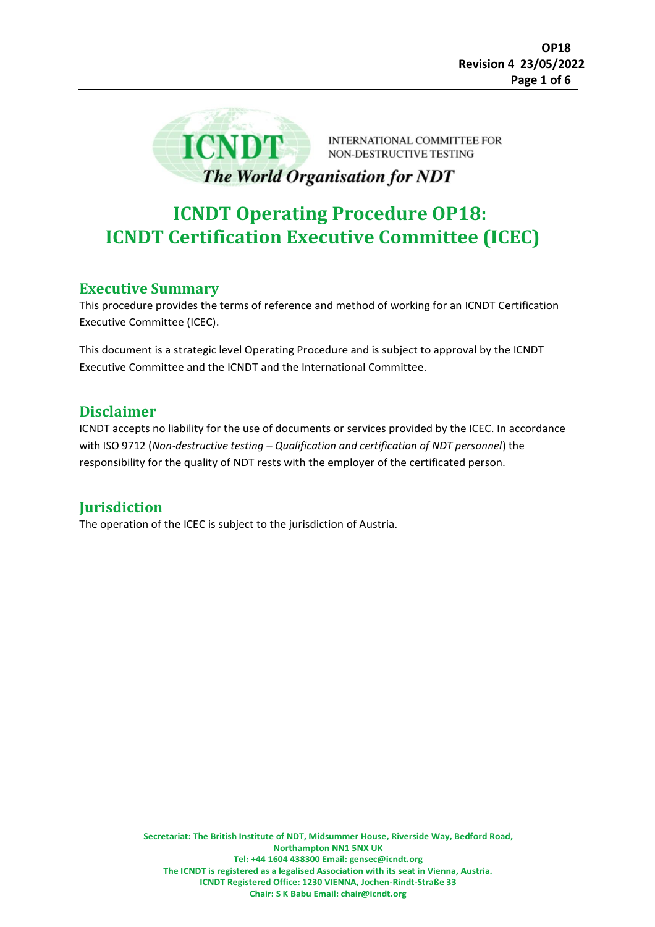

**INTERNATIONAL COMMITTEE FOR** NON-DESTRUCTIVE TESTING

# The World Organisation for NDT

# **ICNDT Operating Procedure OP18: ICNDT Certification Executive Committee (ICEC)**

## **Executive Summary**

This procedure provides the terms of reference and method of working for an ICNDT Certification Executive Committee (ICEC).

This document is a strategic level Operating Procedure and is subject to approval by the ICNDT Executive Committee and the ICNDT and the International Committee.

## **Disclaimer**

ICNDT accepts no liability for the use of documents or services provided by the ICEC. In accordance with ISO 9712 (*Non-destructive testing – Qualification and certification of NDT personnel*) the responsibility for the quality of NDT rests with the employer of the certificated person.

# **Jurisdiction**

The operation of the ICEC is subject to the jurisdiction of Austria.

**Secretariat: The British Institute of NDT, Midsummer House, Riverside Way, Bedford Road, Northampton NN1 5NX UK Tel: +44 1604 438300 Email: gensec@icndt.org The ICNDT is registered as a legalised Association with its seat in Vienna, Austria. ICNDT Registered Office: 1230 VIENNA, Jochen-Rindt-Straße 33 Chair: S K Babu Email: chair@icndt.org**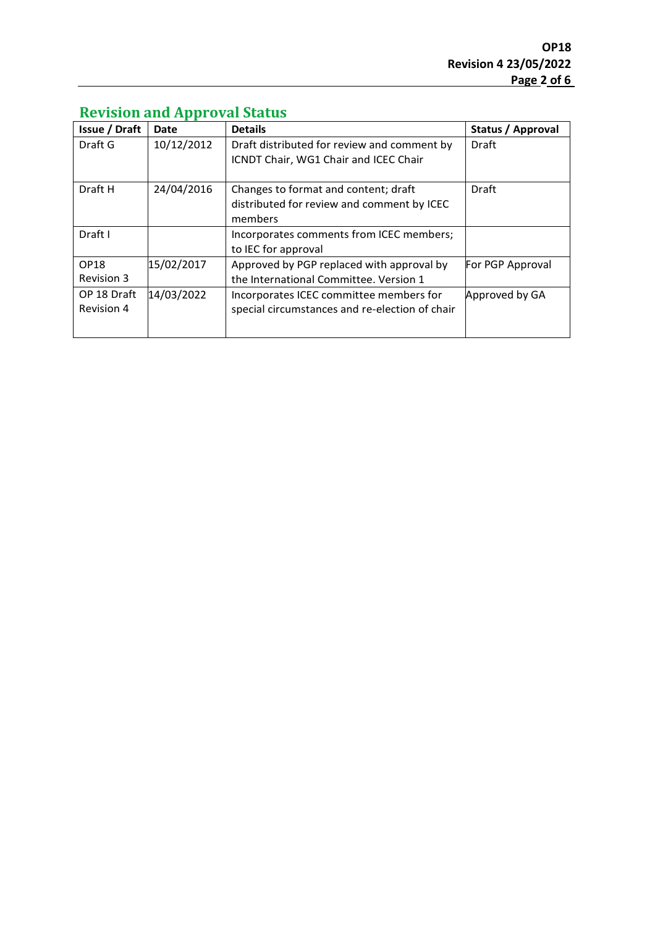| <b>Issue / Draft</b>      | Date       | <b>Details</b>                                                                                | Status / Approval |
|---------------------------|------------|-----------------------------------------------------------------------------------------------|-------------------|
| Draft G                   | 10/12/2012 | Draft distributed for review and comment by<br>ICNDT Chair, WG1 Chair and ICEC Chair          | Draft             |
| Draft H                   | 24/04/2016 | Changes to format and content; draft<br>distributed for review and comment by ICEC<br>members | Draft             |
| Draft I                   |            | Incorporates comments from ICEC members;<br>to IEC for approval                               |                   |
| OP18<br><b>Revision 3</b> | 15/02/2017 | Approved by PGP replaced with approval by<br>the International Committee. Version 1           | For PGP Approval  |
| OP 18 Draft<br>Revision 4 | 14/03/2022 | Incorporates ICEC committee members for<br>special circumstances and re-election of chair     | Approved by GA    |

# **Revision and Approval Status**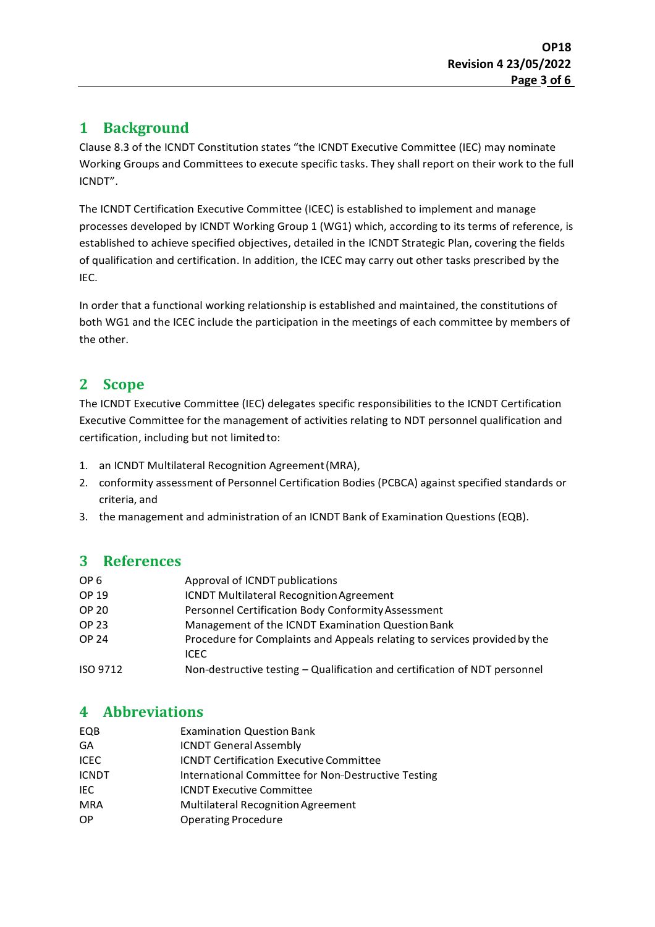## **1 Background**

Clause 8.3 of the ICNDT Constitution states "the ICNDT Executive Committee (IEC) may nominate Working Groups and Committees to execute specific tasks. They shall report on their work to the full ICNDT".

The ICNDT Certification Executive Committee (ICEC) is established to implement and manage processes developed by ICNDT Working Group 1 (WG1) which, according to its terms of reference, is established to achieve specified objectives, detailed in the ICNDT Strategic Plan, covering the fields of qualification and certification. In addition, the ICEC may carry out other tasks prescribed by the IEC.

In order that a functional working relationship is established and maintained, the constitutions of both WG1 and the ICEC include the participation in the meetings of each committee by members of the other.

# **2 Scope**

The ICNDT Executive Committee (IEC) delegates specific responsibilities to the ICNDT Certification Executive Committee for the management of activities relating to NDT personnel qualification and certification, including but not limited to:

- 1. an ICNDT Multilateral Recognition Agreement(MRA),
- 2. conformity assessment of Personnel Certification Bodies (PCBCA) against specified standards or criteria, and
- 3. the management and administration of an ICNDT Bank of Examination Questions (EQB).

## **3 References**

| OP 6         | Approval of ICNDT publications                                                     |  |
|--------------|------------------------------------------------------------------------------------|--|
| OP 19        | <b>ICNDT Multilateral Recognition Agreement</b>                                    |  |
| <b>OP 20</b> | Personnel Certification Body Conformity Assessment                                 |  |
| OP 23        | Management of the ICNDT Examination Question Bank                                  |  |
| <b>OP 24</b> | Procedure for Complaints and Appeals relating to services provided by the<br>ICEC. |  |
| ISO 9712     | Non-destructive testing – Qualification and certification of NDT personnel         |  |
|              |                                                                                    |  |

## **4 Abbreviations**

| <b>Examination Question Bank</b>                    |  |
|-----------------------------------------------------|--|
| <b>ICNDT General Assembly</b>                       |  |
| <b>ICNDT Certification Executive Committee</b>      |  |
| International Committee for Non-Destructive Testing |  |
| <b>ICNDT Executive Committee</b>                    |  |
| <b>Multilateral Recognition Agreement</b>           |  |
| <b>Operating Procedure</b>                          |  |
|                                                     |  |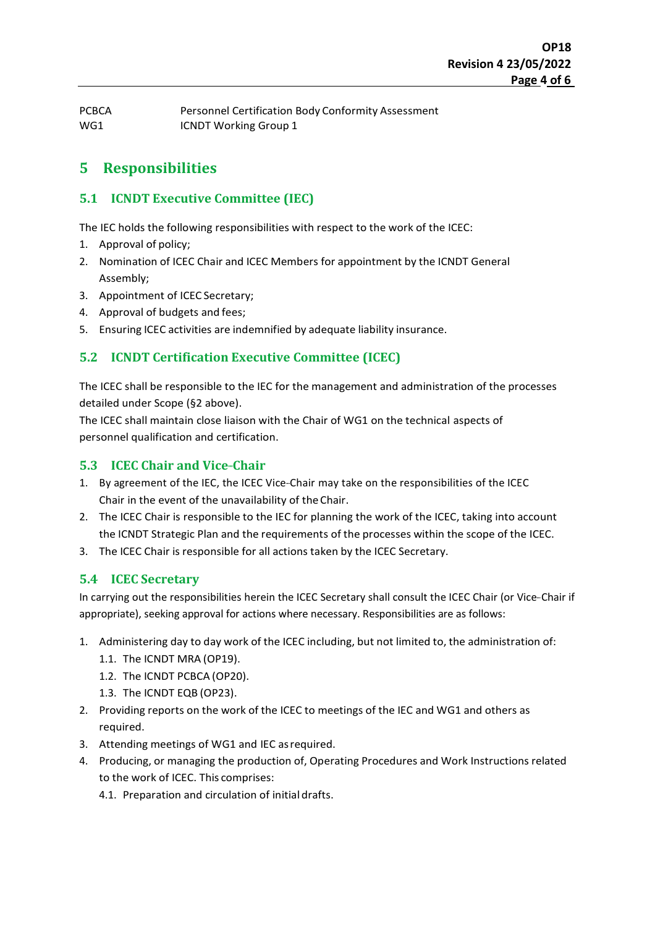PCBCA Personnel Certification Body Conformity Assessment WG1 **ICNDT** Working Group 1

## **5 Responsibilities**

#### **5.1 ICNDT Executive Committee (IEC)**

The IEC holds the following responsibilities with respect to the work of the ICEC:

- 1. Approval of policy;
- 2. Nomination of ICEC Chair and ICEC Members for appointment by the ICNDT General Assembly;
- 3. Appointment of ICEC Secretary;
- 4. Approval of budgets and fees;
- 5. Ensuring ICEC activities are indemnified by adequate liability insurance.

#### **5.2 ICNDT Certification Executive Committee (ICEC)**

The ICEC shall be responsible to the IEC for the management and administration of the processes detailed under Scope (§2 above).

The ICEC shall maintain close liaison with the Chair of WG1 on the technical aspects of personnel qualification and certification.

#### **5.3 ICEC Chair and Vice-Chair**

- 1. By agreement of the IEC, the ICEC Vice--Chair may take on the responsibilities of the ICEC Chair in the event of the unavailability of the Chair.
- 2. The ICEC Chair is responsible to the IEC for planning the work of the ICEC, taking into account the ICNDT Strategic Plan and the requirements of the processes within the scope of the ICEC.
- 3. The ICEC Chair is responsible for all actions taken by the ICEC Secretary.

#### **5.4 ICEC Secretary**

In carrying out the responsibilities herein the ICEC Secretary shall consult the ICEC Chair (or Vice-Chair if appropriate), seeking approval for actions where necessary. Responsibilities are as follows:

- 1. Administering day to day work of the ICEC including, but not limited to, the administration of:
	- 1.1. The ICNDT MRA (OP19).
	- 1.2. The ICNDT PCBCA (OP20).
	- 1.3. The ICNDT EQB (OP23).
- 2. Providing reports on the work of the ICEC to meetings of the IEC and WG1 and others as required.
- 3. Attending meetings of WG1 and IEC asrequired.
- 4. Producing, or managing the production of, Operating Procedures and Work Instructions related to the work of ICEC. This comprises:
	- 4.1. Preparation and circulation of initial drafts.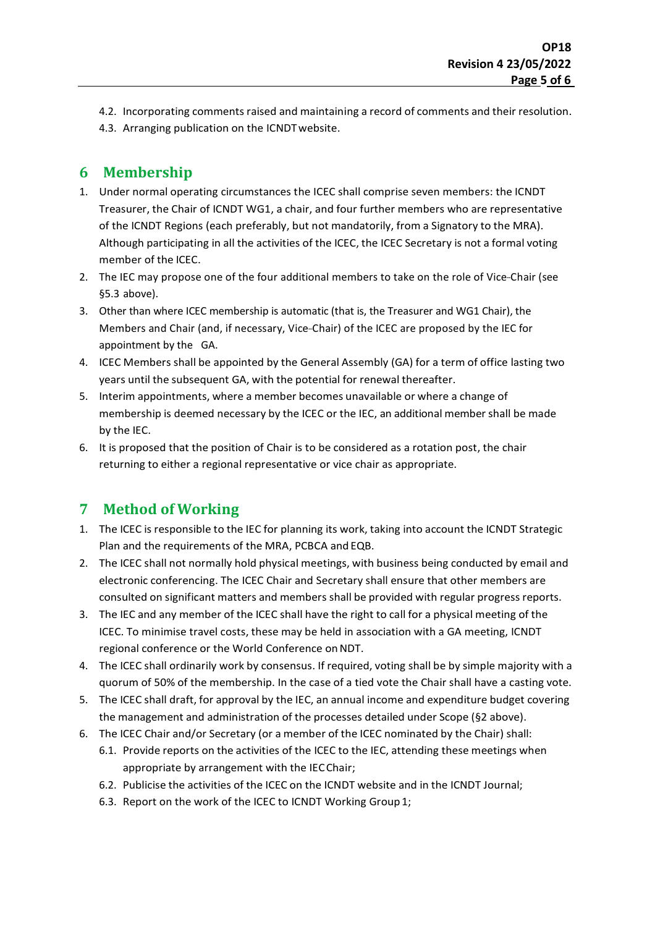- 4.2. Incorporating comments raised and maintaining a record of comments and their resolution.
- 4.3. Arranging publication on the ICNDTwebsite.

# **6 Membership**

- 1. Under normal operating circumstances the ICEC shall comprise seven members: the ICNDT Treasurer, the Chair of ICNDT WG1, a chair, and four further members who are representative of the ICNDT Regions (each preferably, but not mandatorily, from a Signatory to the MRA). Although participating in all the activities of the ICEC, the ICEC Secretary is not a formal voting member of the ICEC.
- 2. The IEC may propose one of the four additional members to take on the role of Vice-Chair (see §5.3 above).
- 3. Other than where ICEC membership is automatic (that is, the Treasurer and WG1 Chair), the Members and Chair (and, if necessary, Vice--Chair) of the ICEC are proposed by the IEC for appointment by the GA.
- 4. ICEC Members shall be appointed by the General Assembly (GA) for a term of office lasting two years until the subsequent GA, with the potential for renewal thereafter.
- 5. Interim appointments, where a member becomes unavailable or where a change of membership is deemed necessary by the ICEC or the IEC, an additional member shall be made by the IEC.
- 6. It is proposed that the position of Chair is to be considered as a rotation post, the chair returning to either a regional representative or vice chair as appropriate.

# **7 Method of Working**

- 1. The ICEC is responsible to the IEC for planning its work, taking into account the ICNDT Strategic Plan and the requirements of the MRA, PCBCA and EQB.
- 2. The ICEC shall not normally hold physical meetings, with business being conducted by email and electronic conferencing. The ICEC Chair and Secretary shall ensure that other members are consulted on significant matters and members shall be provided with regular progress reports.
- 3. The IEC and any member of the ICEC shall have the right to call for a physical meeting of the ICEC. To minimise travel costs, these may be held in association with a GA meeting, ICNDT regional conference or the World Conference onNDT.
- 4. The ICEC shall ordinarily work by consensus. If required, voting shall be by simple majority with a quorum of 50% of the membership. In the case of a tied vote the Chair shall have a casting vote.
- 5. The ICEC shall draft, for approval by the IEC, an annual income and expenditure budget covering the management and administration of the processes detailed under Scope (§2 above).
- 6. The ICEC Chair and/or Secretary (or a member of the ICEC nominated by the Chair) shall:
	- 6.1. Provide reports on the activities of the ICEC to the IEC, attending these meetings when appropriate by arrangement with the IECChair;
	- 6.2. Publicise the activities of the ICEC on the ICNDT website and in the ICNDT Journal;
	- 6.3. Report on the work of the ICEC to ICNDT Working Group1;